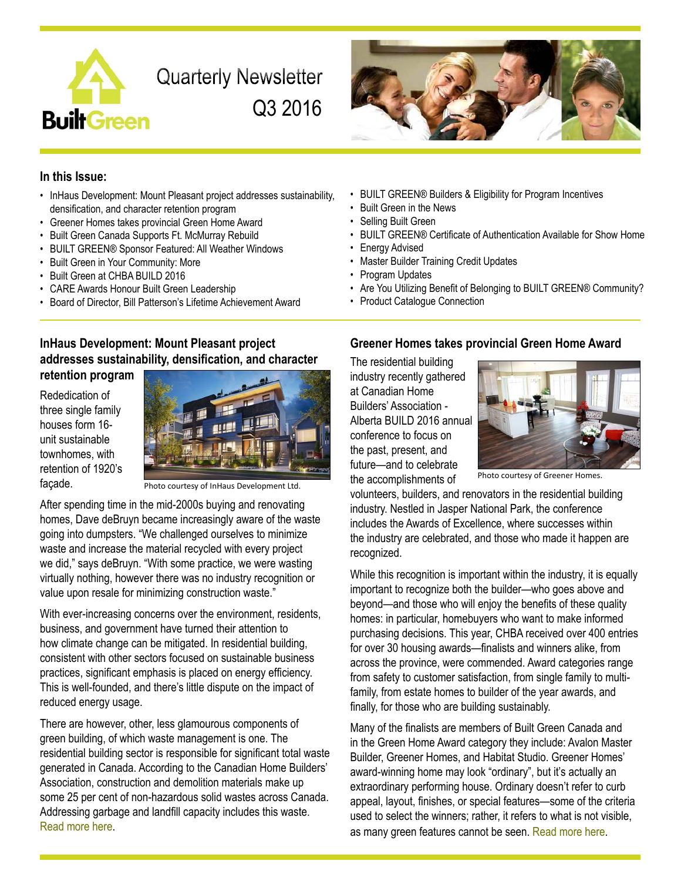

**Quarterly Newsletter** Q3 2016



### **In this Issue:**

- InHaus Development: Mount Pleasant project addresses sustainability, densification, and character retention program
- Greener Homes takes provincial Green Home Award
- Built Green Canada Supports Ft. McMurray Rebuild
- BUILT GREEN® Sponsor Featured: All Weather Windows
- Built Green in Your Community: More
- Built Green at CHBA BUILD 2016
- CARE Awards Honour Built Green Leadership
- Board of Director, Bill Patterson's Lifetime Achievement Award

# **InHaus Development: Mount Pleasant project addresses sustainability, densification, and character**

**retention program**

Rededication of three single family houses form 16 unit sustainable townhomes, with retention of 1920's façade.



Photo courtesy of InHaus Development Ltd.

After spending time in the mid-2000s buying and renovating homes, Dave deBruyn became increasingly aware of the waste going into dumpsters. "We challenged ourselves to minimize waste and increase the material recycled with every project we did," says deBruyn. "With some practice, we were wasting virtually nothing, however there was no industry recognition or value upon resale for minimizing construction waste."

With ever-increasing concerns over the environment, residents, business, and government have turned their attention to how climate change can be mitigated. In residential building, consistent with other sectors focused on sustainable business practices, significant emphasis is placed on energy efficiency. This is well-founded, and there's little dispute on the impact of reduced energy usage.

There are however, other, less glamourous components of green building, of which waste management is one. The residential building sector is responsible for significant total waste generated in Canada. According to the Canadian Home Builders' Association, construction and demolition materials make up some 25 per cent of non-hazardous solid wastes across Canada. Addressing garbage and landfill capacity includes this waste. [Read more here](http://builtgreencanada.ca/rededication-of-three-single-family-houses-form-16-unit-sustainable-townhomes-with-retention-of-1920-s-fa-ade?id=1456).

- BUILT GREEN® Builders & Eligibility for Program Incentives
- Built Green in the News
- Selling Built Green
- BUILT GREEN® Certificate of Authentication Available for Show Home
- **Energy Advised**
- Master Builder Training Credit Updates
- Program Updates
- Are You Utilizing Benefit of Belonging to BUILT GREEN® Community?
- Product Catalogue Connection

### **Greener Homes takes provincial Green Home Award**

The residential building industry recently gathered at Canadian Home Builders' Association - Alberta BUILD 2016 annual conference to focus on the past, present, and future—and to celebrate the accomplishments of



Photo courtesy of Greener Homes.

volunteers, builders, and renovators in the residential building industry. Nestled in Jasper National Park, the conference includes the Awards of Excellence, where successes within the industry are celebrated, and those who made it happen are recognized.

While this recognition is important within the industry, it is equally important to recognize both the builder—who goes above and beyond—and those who will enjoy the benefits of these quality homes: in particular, homebuyers who want to make informed purchasing decisions. This year, CHBA received over 400 entries for over 30 housing awards—finalists and winners alike, from across the province, were commended. Award categories range from safety to customer satisfaction, from single family to multifamily, from estate homes to builder of the year awards, and finally, for those who are building sustainably.

Many of the finalists are members of Built Green Canada and in the Green Home Award category they include: Avalon Master Builder, Greener Homes, and Habitat Studio. Greener Homes' award-winning home may look "ordinary", but it's actually an extraordinary performing house. Ordinary doesn't refer to curb appeal, layout, finishes, or special features—some of the criteria used to select the winners; rather, it refers to what is not visible, as many green features cannot be seen. [Read more here](http://builtgreencanada.ca/greener-homes-takes-home-provincial-green-home-award?id=1456).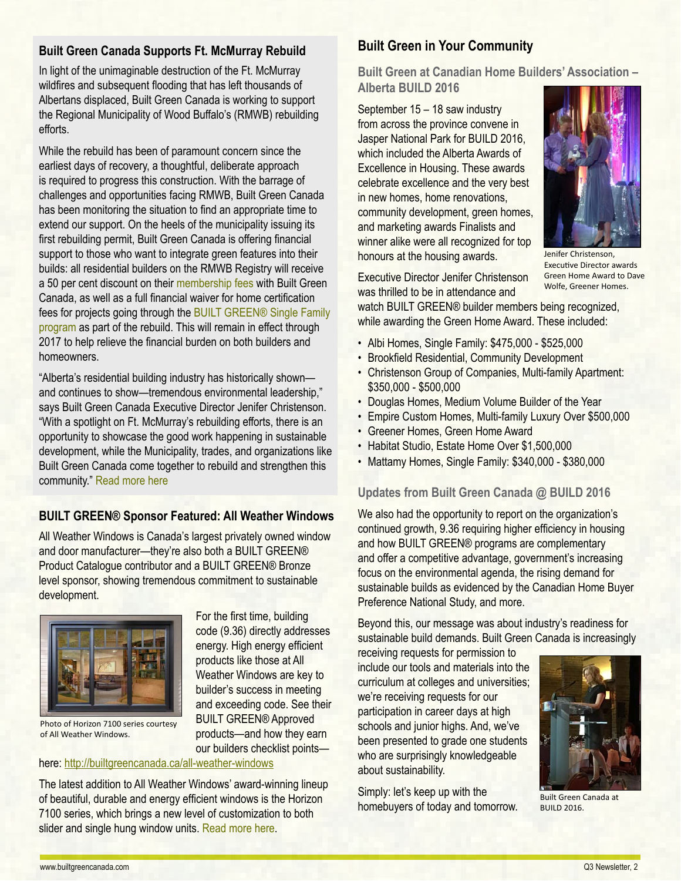# **Built Green Canada Supports Ft. McMurray Rebuild**

In light of the unimaginable destruction of the Ft. McMurray wildfires and subsequent flooding that has left thousands of Albertans displaced, Built Green Canada is working to support the Regional Municipality of Wood Buffalo's (RMWB) rebuilding efforts.

While the rebuild has been of paramount concern since the earliest days of recovery, a thoughtful, deliberate approach is required to progress this construction. With the barrage of challenges and opportunities facing RMWB, Built Green Canada has been monitoring the situation to find an appropriate time to extend our support. On the heels of the municipality issuing its first rebuilding permit, Built Green Canada is offering financial support to those who want to integrate green features into their builds: all residential builders on the RMWB Registry will receive a 50 per cent discount on their [membership fees](http://www.builtgreencanada.ca/become-a-member) with Built Green Canada, as well as a full financial waiver for home certification fees for projects going through the [BUILT GREEN® Single Family](http://www.builtgreencanada.ca/single-family)  [program](http://www.builtgreencanada.ca/single-family) as part of the rebuild. This will remain in effect through 2017 to help relieve the financial burden on both builders and homeowners.

"Alberta's residential building industry has historically shown and continues to show—tremendous environmental leadership," says Built Green Canada Executive Director Jenifer Christenson. "With a spotlight on Ft. McMurray's rebuilding efforts, there is an opportunity to showcase the good work happening in sustainable development, while the Municipality, trades, and organizations like Built Green Canada come together to rebuild and strengthen this community." [Read more here](http://builtgreencanada.ca/built-green-canada-supports-ft-mcmurray-rebuild?id=1456)

### **BUILT GREEN® Sponsor Featured: All Weather Windows**

All Weather Windows is Canada's largest privately owned window and door manufacturer—they're also both a BUILT GREEN® Product Catalogue contributor and a BUILT GREEN® Bronze level sponsor, showing tremendous commitment to sustainable development.



Photo of Horizon 7100 series courtesy of All Weather Windows.

For the first time, building code (9.36) directly addresses energy. High energy efficient products like those at All Weather Windows are key to builder's success in meeting and exceeding code. See their BUILT GREEN® Approved products—and how they earn our builders checklist points—

### here:<http://builtgreencanada.ca/all-weather-windows>

The latest addition to All Weather Windows' award-winning lineup of beautiful, durable and energy efficient windows is the Horizon 7100 series, which brings a new level of customization to both slider and single hung window units. [Read more here](http://builtgreencanada.ca/built-green-sponsor-featured-all-weather-windows?id=1456).

# **Built Green in Your Community**

**Built Green at Canadian Home Builders' Association – Alberta BUILD 2016**

September 15 – 18 saw industry from across the province convene in Jasper National Park for BUILD 2016, which included the Alberta Awards of Excellence in Housing. These awards celebrate excellence and the very best in new homes, home renovations, community development, green homes, and marketing awards Finalists and winner alike were all recognized for top honours at the housing awards.



Jenifer Christenson, Executive Director awards Green Home Award to Dave Wolfe, Greener Homes.

Executive Director Jenifer Christenson was thrilled to be in attendance and

watch BUILT GREEN® builder members being recognized, while awarding the Green Home Award. These included:

- Albi Homes, Single Family: \$475,000 \$525,000
- Brookfield Residential, Community Development
- Christenson Group of Companies, Multi-family Apartment: \$350,000 - \$500,000
- Douglas Homes, Medium Volume Builder of the Year
- Empire Custom Homes, Multi-family Luxury Over \$500,000
- Greener Homes, Green Home Award
- Habitat Studio, Estate Home Over \$1,500,000
- Mattamy Homes, Single Family: \$340,000 \$380,000

### **Updates from Built Green Canada @ BUILD 2016**

We also had the opportunity to report on the organization's continued growth, 9.36 requiring higher efficiency in housing and how BUILT GREEN® programs are complementary and offer a competitive advantage, government's increasing focus on the environmental agenda, the rising demand for sustainable builds as evidenced by the Canadian Home Buyer Preference National Study, and more.

Beyond this, our message was about industry's readiness for sustainable build demands. Built Green Canada is increasingly

receiving requests for permission to include our tools and materials into the curriculum at colleges and universities; we're receiving requests for our participation in career days at high schools and junior highs. And, we've been presented to grade one students who are surprisingly knowledgeable about sustainability.

Simply: let's keep up with the homebuyers of today and tomorrow.



Built Green Canada at **BUILD 2016.**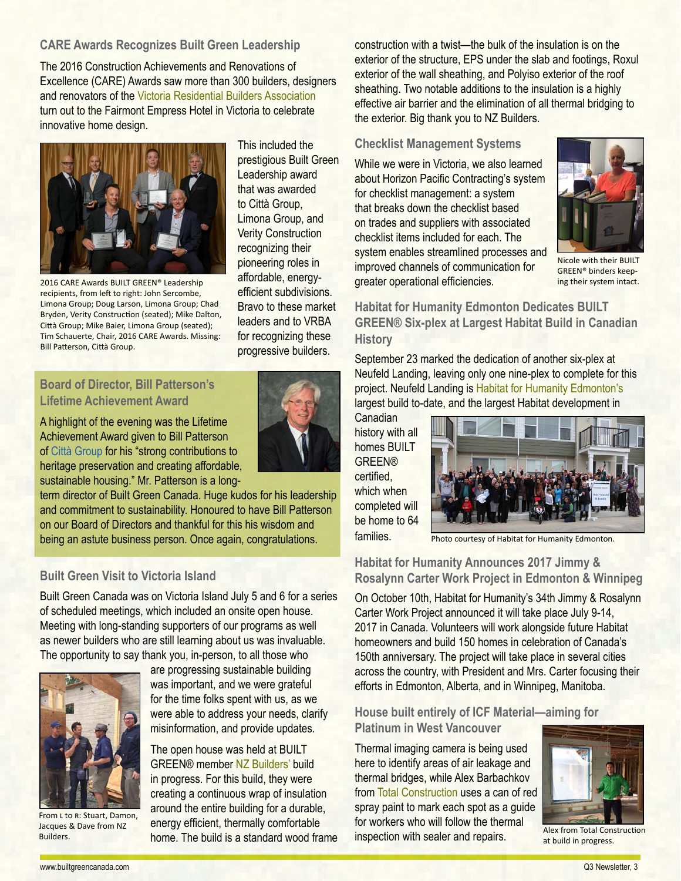#### **CARE Awards Recognizes Built Green Leadership**

The 2016 Construction Achievements and Renovations of Excellence (CARE) Awards saw more than 300 builders, designers and renovators of the [Victoria Residential Builders Association](http://www.vrba.ca/) turn out to the Fairmont Empress Hotel in Victoria to celebrate innovative home design.



2016 CARE Awards BUILT GREEN® Leadership recipients, from left to right: John Sercombe, Limona Group; Doug Larson, Limona Group; Chad Bryden, Verity Construction (seated); Mike Dalton, Città Group; Mike Baier, Limona Group (seated); Tim Schauerte, Chair, 2016 CARE Awards. Missing: Bill Patterson, Città Group.

This included the prestigious Built Green Leadership award that was awarded to Città Group, Limona Group, and Verity Construction recognizing their pioneering roles in affordable, energyefficient subdivisions. Bravo to these market leaders and to VRBA for recognizing these progressive builders.

### **Board of Director, Bill Patterson's Lifetime Achievement Award**

A highlight of the evening was the Lifetime Achievement Award given to Bill Patterson of [Città Group](http://builtgreencanada.ca/citta-group-construction?id=727) for his "strong contributions to heritage preservation and creating affordable, sustainable housing." Mr. Patterson is a long-

term director of Built Green Canada. Huge kudos for his leadership and commitment to sustainability. Honoured to have Bill Patterson on our Board of Directors and thankful for this his wisdom and being an astute business person. Once again, congratulations.

# **Built Green Visit to Victoria Island**

Built Green Canada was on Victoria Island July 5 and 6 for a series of scheduled meetings, which included an onsite open house. Meeting with long-standing supporters of our programs as well as newer builders who are still learning about us was invaluable. The opportunity to say thank you, in-person, to all those who



From L to R: Stuart, Damon, Jacques & Dave from NZ Builders.

are progressing sustainable building was important, and we were grateful for the time folks spent with us, as we were able to address your needs, clarify misinformation, and provide updates.

The open house was held at BUILT GREEN® member [NZ Builders](http://builtgreencanada.ca/nz-builders-ltd?id=727)' build in progress. For this build, they were creating a continuous wrap of insulation around the entire building for a durable, energy efficient, thermally comfortable home. The build is a standard wood frame construction with a twist—the bulk of the insulation is on the exterior of the structure, EPS under the slab and footings, Roxul exterior of the wall sheathing, and Polyiso exterior of the roof sheathing. Two notable additions to the insulation is a highly effective air barrier and the elimination of all thermal bridging to the exterior. Big thank you to NZ Builders.

#### **Checklist Management Systems**

While we were in Victoria, we also learned about Horizon Pacific Contracting's system for checklist management: a system that breaks down the checklist based on trades and suppliers with associated checklist items included for each. The system enables streamlined processes and improved channels of communication for greater operational efficiencies.



Nicole with their BUILT GREEN® binders keeping their system intact.

**Habitat for Humanity Edmonton Dedicates BUILT GREEN® Six-plex at Largest Habitat Build in Canadian History**

September 23 marked the dedication of another six-plex at Neufeld Landing, leaving only one nine-plex to complete for this project. Neufeld Landing is [Habitat for Humanity Edmonton's](http://builtgreencanada.ca/habitat-for-humanity-edmonton?id=723) largest build to-date, and the largest Habitat development in

Canadian history with all homes BUILT GREEN® certified, which when completed will be home to 64 families.



Photo courtesy of Habitat for Humanity Edmonton.

### **Habitat for Humanity Announces 2017 Jimmy & Rosalynn Carter Work Project in Edmonton & Winnipeg**

On October 10th, Habitat for Humanity's 34th Jimmy & Rosalynn Carter Work Project announced it will take place July 9-14, 2017 in Canada. Volunteers will work alongside future Habitat homeowners and build 150 homes in celebration of Canada's 150th anniversary. The project will take place in several cities across the country, with President and Mrs. Carter focusing their efforts in Edmonton, Alberta, and in Winnipeg, Manitoba.

**House built entirely of ICF Material—aiming for Platinum in West Vancouver**

Thermal imaging camera is being used here to identify areas of air leakage and thermal bridges, while Alex Barbachkov from [Total](www.totalproject.ca) Construction uses a can of red spray paint to mark each spot as a guide for workers who will follow the thermal inspection with sealer and repairs.



Alex from Total Construction at build in progress.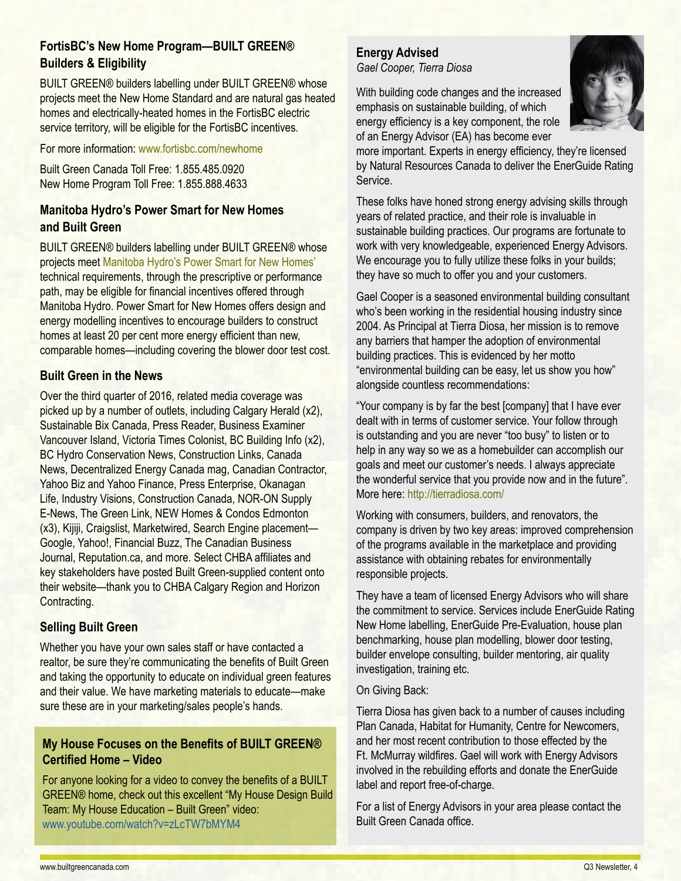# **FortisBC's New Home Program—BUILT GREEN® Builders & Eligibility**

BUILT GREEN® builders labelling under BUILT GREEN® whose projects meet the New Home Standard and are natural gas heated homes and electrically-heated homes in the FortisBC electric service territory, will be eligible for the FortisBC incentives.

For more information: [www.fortisbc.com/newhome](http://www.fortisbc.com/newhome)

Built Green Canada Toll Free: 1.855.485.0920 New Home Program Toll Free: 1.855.888.4633

# **Manitoba Hydro's Power Smart for New Homes and Built Green**

BUILT GREEN® builders labelling under BUILT GREEN® whose projects meet [Manitoba Hydro's Power Smart for New Homes'](https://www.hydro.mb.ca/your_home/new_homes/) technical requirements, through the prescriptive or performance path, may be eligible for financial incentives offered through Manitoba Hydro. Power Smart for New Homes offers design and energy modelling incentives to encourage builders to construct homes at least 20 per cent more energy efficient than new, comparable homes—including covering the blower door test cost.

### **Built Green in the News**

Over the third quarter of 2016, related media coverage was picked up by a number of outlets, including Calgary Herald (x2), Sustainable Bix Canada, Press Reader, Business Examiner Vancouver Island, Victoria Times Colonist, BC Building Info (x2), BC Hydro Conservation News, Construction Links, Canada News, Decentralized Energy Canada mag, Canadian Contractor, Yahoo Biz and Yahoo Finance, Press Enterprise, Okanagan Life, Industry Visions, Construction Canada, NOR-ON Supply E-News, The Green Link, NEW Homes & Condos Edmonton (x3), Kijiji, Craigslist, Marketwired, Search Engine placement— Google, Yahoo!, Financial Buzz, The Canadian Business Journal, Reputation.ca, and more. Select CHBA affiliates and key stakeholders have posted Built Green-supplied content onto their website—thank you to CHBA Calgary Region and Horizon Contracting.

### **Selling Built Green**

Whether you have your own sales staff or have contacted a realtor, be sure they're communicating the benefits of Built Green and taking the opportunity to educate on individual green features and their value. We have marketing materials to educate—make sure these are in your marketing/sales people's hands.

### **My House Focuses on the Benefits of BUILT GREEN® Certified Home – Video**

For anyone looking for a video to convey the benefits of a BUILT GREEN® home, check out this excellent "My House Design Build Team: My House Education – Built Green" video: <www.youtube.com/watch?v=zLcTW7bMYM4>

# **Energy Advised**

*Gael Cooper, Tierra Diosa*

With building code changes and the increased emphasis on sustainable building, of which energy efficiency is a key component, the role of an Energy Advisor (EA) has become ever



more important. Experts in energy efficiency, they're licensed by Natural Resources Canada to deliver the EnerGuide Rating Service.

These folks have honed strong energy advising skills through years of related practice, and their role is invaluable in sustainable building practices. Our programs are fortunate to work with very knowledgeable, experienced Energy Advisors. We encourage you to fully utilize these folks in your builds; they have so much to offer you and your customers.

Gael Cooper is a seasoned environmental building consultant who's been working in the residential housing industry since 2004. As Principal at Tierra Diosa, her mission is to remove any barriers that hamper the adoption of environmental building practices. This is evidenced by her motto "environmental building can be easy, let us show you how" alongside countless recommendations:

"Your company is by far the best [company] that I have ever dealt with in terms of customer service. Your follow through is outstanding and you are never "too busy" to listen or to help in any way so we as a homebuilder can accomplish our goals and meet our customer's needs. I always appreciate the wonderful service that you provide now and in the future". More here: <http://tierradiosa.com/>

Working with consumers, builders, and renovators, the company is driven by two key areas: improved comprehension of the programs available in the marketplace and providing assistance with obtaining rebates for environmentally responsible projects.

They have a team of licensed Energy Advisors who will share the commitment to service. Services include EnerGuide Rating New Home labelling, EnerGuide Pre-Evaluation, house plan benchmarking, house plan modelling, blower door testing, builder envelope consulting, builder mentoring, air quality investigation, training etc.

#### On Giving Back:

Tierra Diosa has given back to a number of causes including Plan Canada, Habitat for Humanity, Centre for Newcomers, and her most recent contribution to those effected by the Ft. McMurray wildfires. Gael will work with Energy Advisors involved in the rebuilding efforts and donate the EnerGuide label and report free-of-charge.

For a list of Energy Advisors in your area please contact the Built Green Canada office.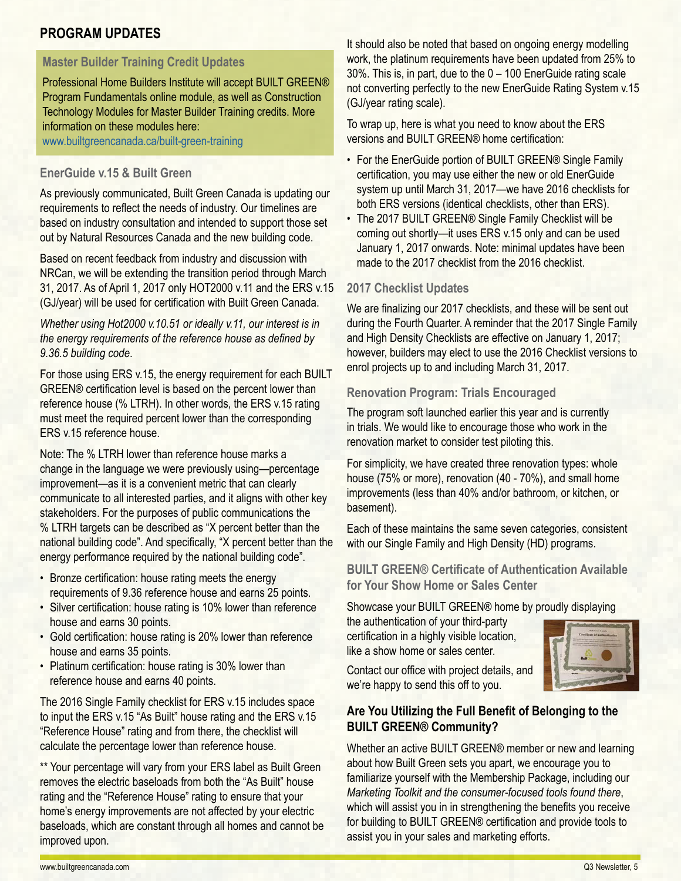# **PROGRAM UPDATES**

# **Master Builder Training Credit Updates**

Professional Home Builders Institute will accept BUILT GREEN® Program Fundamentals online module, as well as Construction Technology Modules for Master Builder Training credits. More information on these modules here:

<www.builtgreencanada.ca/built-green-training>

# **EnerGuide v.15 & Built Green**

As previously communicated, Built Green Canada is updating our requirements to reflect the needs of industry. Our timelines are based on industry consultation and intended to support those set out by Natural Resources Canada and the new building code.

Based on recent feedback from industry and discussion with NRCan, we will be extending the transition period through March 31, 2017. As of April 1, 2017 only HOT2000 v.11 and the ERS v.15 (GJ/year) will be used for certification with Built Green Canada.

*Whether using Hot2000 v.10.51 or ideally v.11, our interest is in the energy requirements of the reference house as defined by 9.36.5 building code*.

For those using ERS v.15, the energy requirement for each BUILT GREEN® certification level is based on the percent lower than reference house (% LTRH). In other words, the ERS v.15 rating must meet the required percent lower than the corresponding ERS v.15 reference house.

Note: The % LTRH lower than reference house marks a change in the language we were previously using—percentage improvement—as it is a convenient metric that can clearly communicate to all interested parties, and it aligns with other key stakeholders. For the purposes of public communications the % LTRH targets can be described as "X percent better than the national building code". And specifically, "X percent better than the energy performance required by the national building code".

- Bronze certification: house rating meets the energy requirements of 9.36 reference house and earns 25 points.
- Silver certification: house rating is 10% lower than reference house and earns 30 points.
- Gold certification: house rating is 20% lower than reference house and earns 35 points.
- Platinum certification: house rating is 30% lower than reference house and earns 40 points.

The 2016 Single Family checklist for ERS v.15 includes space to input the ERS v.15 "As Built" house rating and the ERS v.15 "Reference House" rating and from there, the checklist will calculate the percentage lower than reference house.

\*\* Your percentage will vary from your ERS label as Built Green removes the electric baseloads from both the "As Built" house rating and the "Reference House" rating to ensure that your home's energy improvements are not affected by your electric baseloads, which are constant through all homes and cannot be improved upon.

It should also be noted that based on ongoing energy modelling work, the platinum requirements have been updated from 25% to 30%. This is, in part, due to the 0 – 100 EnerGuide rating scale not converting perfectly to the new EnerGuide Rating System v.15 (GJ/year rating scale).

To wrap up, here is what you need to know about the ERS versions and BUILT GREEN® home certification:

- For the EnerGuide portion of BUILT GREEN® Single Family certification, you may use either the new or old EnerGuide system up until March 31, 2017—we have 2016 checklists for both ERS versions (identical checklists, other than ERS).
- The 2017 BUILT GREEN® Single Family Checklist will be coming out shortly—it uses ERS v.15 only and can be used January 1, 2017 onwards. Note: minimal updates have been made to the 2017 checklist from the 2016 checklist.

### **2017 Checklist Updates**

We are finalizing our 2017 checklists, and these will be sent out during the Fourth Quarter. A reminder that the 2017 Single Family and High Density Checklists are effective on January 1, 2017; however, builders may elect to use the 2016 Checklist versions to enrol projects up to and including March 31, 2017.

### **Renovation Program: Trials Encouraged**

The program soft launched earlier this year and is currently in trials. We would like to encourage those who work in the renovation market to consider test piloting this.

For simplicity, we have created three renovation types: whole house (75% or more), renovation (40 - 70%), and small home improvements (less than 40% and/or bathroom, or kitchen, or basement).

Each of these maintains the same seven categories, consistent with our Single Family and High Density (HD) programs.

# **BUILT GREEN® Certificate of Authentication Available for Your Show Home or Sales Center**

Showcase your BUILT GREEN® home by proudly displaying

the authentication of your third-party certification in a highly visible location, like a show home or sales center.



Contact our office with project details, and we're happy to send this off to you.

# **Are You Utilizing the Full Benefit of Belonging to the BUILT GREEN® Community?**

Whether an active BUILT GREEN® member or new and learning about how Built Green sets you apart, we encourage you to familiarize yourself with the Membership Package, including our *Marketing Toolkit and the consumer-focused tools found there*, which will assist you in in strengthening the benefits you receive for building to BUILT GREEN® certification and provide tools to assist you in your sales and marketing efforts.